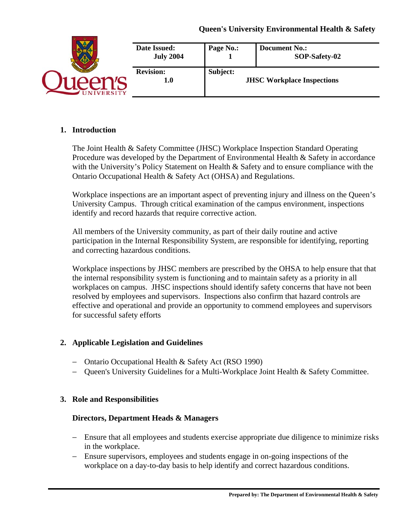|                 | Date Issued:<br><b>July 2004</b> | Page No.: | <b>Document No.:</b><br>SOP-Safety-02 |
|-----------------|----------------------------------|-----------|---------------------------------------|
| <b>IVERSITY</b> | <b>Revision:</b><br>$1.0\,$      | Subject:  | <b>JHSC Workplace Inspections</b>     |

## **1. Introduction**

The Joint Health & Safety Committee (JHSC) Workplace Inspection Standard Operating Procedure was developed by the Department of Environmental Health & Safety in accordance with the University's Policy Statement on Health & Safety and to ensure compliance with the Ontario Occupational Health & Safety Act (OHSA) and Regulations.

Workplace inspections are an important aspect of preventing injury and illness on the Queen's University Campus. Through critical examination of the campus environment, inspections identify and record hazards that require corrective action.

All members of the University community, as part of their daily routine and active participation in the Internal Responsibility System, are responsible for identifying, reporting and correcting hazardous conditions.

Workplace inspections by JHSC members are prescribed by the OHSA to help ensure that that the internal responsibility system is functioning and to maintain safety as a priority in all workplaces on campus. JHSC inspections should identify safety concerns that have not been resolved by employees and supervisors. Inspections also confirm that hazard controls are effective and operational and provide an opportunity to commend employees and supervisors for successful safety efforts

## **2. Applicable Legislation and Guidelines**

- − Ontario Occupational Health & Safety Act (RSO 1990)
- − Queen's University Guidelines for a Multi-Workplace Joint Health & Safety Committee.

#### **3. Role and Responsibilities**

#### **Directors, Department Heads & Managers**

- − Ensure that all employees and students exercise appropriate due diligence to minimize risks in the workplace.
- − Ensure supervisors, employees and students engage in on-going inspections of the workplace on a day-to-day basis to help identify and correct hazardous conditions.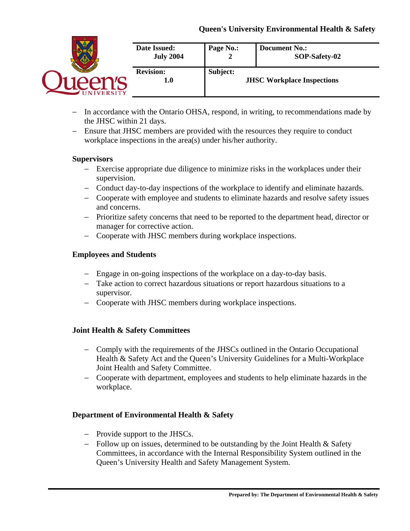| Date Issued:<br><b>July 2004</b> | Page No.: | <b>Document No.:</b><br>SOP-Safety-02 |
|----------------------------------|-----------|---------------------------------------|
| <b>Revision:</b><br>1.0          | Subject:  | <b>JHSC Workplace Inspections</b>     |

- − In accordance with the Ontario OHSA, respond, in writing, to recommendations made by the JHSC within 21 days.
- − Ensure that JHSC members are provided with the resources they require to conduct workplace inspections in the area(s) under his/her authority.

## **Supervisors**

- − Exercise appropriate due diligence to minimize risks in the workplaces under their supervision.
- − Conduct day-to-day inspections of the workplace to identify and eliminate hazards.
- − Cooperate with employee and students to eliminate hazards and resolve safety issues and concerns.
- − Prioritize safety concerns that need to be reported to the department head, director or manager for corrective action.
- − Cooperate with JHSC members during workplace inspections.

## **Employees and Students**

- − Engage in on-going inspections of the workplace on a day-to-day basis.
- − Take action to correct hazardous situations or report hazardous situations to a supervisor.
- − Cooperate with JHSC members during workplace inspections.

# **Joint Health & Safety Committees**

- − Comply with the requirements of the JHSCs outlined in the Ontario Occupational Health & Safety Act and the Queen's University Guidelines for a Multi-Workplace Joint Health and Safety Committee.
- − Cooperate with department, employees and students to help eliminate hazards in the workplace.

## **Department of Environmental Health & Safety**

- − Provide support to the JHSCs.
- − Follow up on issues, determined to be outstanding by the Joint Health & Safety Committees, in accordance with the Internal Responsibility System outlined in the Queen's University Health and Safety Management System.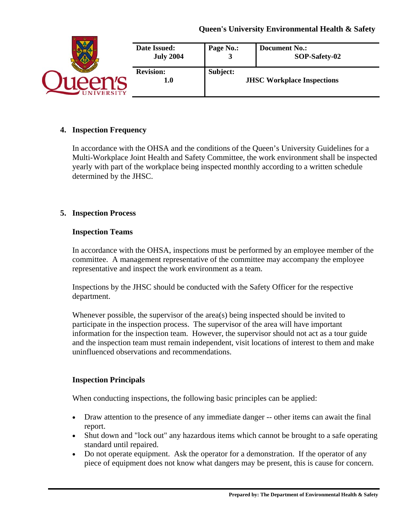|                        | Date Issued:<br><b>July 2004</b> | Page No.: | <b>Document No.:</b><br>SOP-Safety-02 |
|------------------------|----------------------------------|-----------|---------------------------------------|
| <b><i>IVERSITY</i></b> | <b>Revision:</b><br>1.0          | Subject:  | <b>JHSC Workplace Inspections</b>     |

## **4. Inspection Frequency**

In accordance with the OHSA and the conditions of the Queen's University Guidelines for a Multi-Workplace Joint Health and Safety Committee, the work environment shall be inspected yearly with part of the workplace being inspected monthly according to a written schedule determined by the JHSC.

## **5. Inspection Process**

#### **Inspection Teams**

In accordance with the OHSA, inspections must be performed by an employee member of the committee. A management representative of the committee may accompany the employee representative and inspect the work environment as a team.

Inspections by the JHSC should be conducted with the Safety Officer for the respective department.

Whenever possible, the supervisor of the area(s) being inspected should be invited to participate in the inspection process. The supervisor of the area will have important information for the inspection team. However, the supervisor should not act as a tour guide and the inspection team must remain independent, visit locations of interest to them and make uninfluenced observations and recommendations.

#### **Inspection Principals**

When conducting inspections, the following basic principles can be applied:

- Draw attention to the presence of any immediate danger -- other items can await the final report.
- Shut down and "lock out" any hazardous items which cannot be brought to a safe operating standard until repaired.
- Do not operate equipment. Ask the operator for a demonstration. If the operator of any piece of equipment does not know what dangers may be present, this is cause for concern.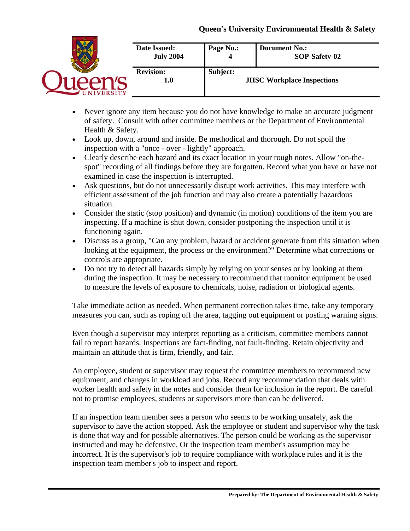|                | Date Issued:<br><b>July 2004</b> | Page No.: | <b>Document No.:</b><br>SOP-Safety-02 |
|----------------|----------------------------------|-----------|---------------------------------------|
| <b>VERSITY</b> | <b>Revision:</b><br>1.0          | Subject:  | <b>JHSC Workplace Inspections</b>     |

- Never ignore any item because you do not have knowledge to make an accurate judgment of safety. Consult with other committee members or the Department of Environmental Health & Safety.
- Look up, down, around and inside. Be methodical and thorough. Do not spoil the inspection with a "once - over - lightly" approach.
- Clearly describe each hazard and its exact location in your rough notes. Allow "on-thespot" recording of all findings before they are forgotten. Record what you have or have not examined in case the inspection is interrupted.
- Ask questions, but do not unnecessarily disrupt work activities. This may interfere with efficient assessment of the job function and may also create a potentially hazardous situation.
- Consider the static (stop position) and dynamic (in motion) conditions of the item you are inspecting. If a machine is shut down, consider postponing the inspection until it is functioning again.
- Discuss as a group, "Can any problem, hazard or accident generate from this situation when looking at the equipment, the process or the environment?" Determine what corrections or controls are appropriate.
- Do not try to detect all hazards simply by relying on your senses or by looking at them during the inspection. It may be necessary to recommend that monitor equipment be used to measure the levels of exposure to chemicals, noise, radiation or biological agents.

Take immediate action as needed. When permanent correction takes time, take any temporary measures you can, such as roping off the area, tagging out equipment or posting warning signs.

Even though a supervisor may interpret reporting as a criticism, committee members cannot fail to report hazards. Inspections are fact-finding, not fault-finding. Retain objectivity and maintain an attitude that is firm, friendly, and fair.

An employee, student or supervisor may request the committee members to recommend new equipment, and changes in workload and jobs. Record any recommendation that deals with worker health and safety in the notes and consider them for inclusion in the report. Be careful not to promise employees, students or supervisors more than can be delivered.

If an inspection team member sees a person who seems to be working unsafely, ask the supervisor to have the action stopped. Ask the employee or student and supervisor why the task is done that way and for possible alternatives. The person could be working as the supervisor instructed and may be defensive. Or the inspection team member's assumption may be incorrect. It is the supervisor's job to require compliance with workplace rules and it is the inspection team member's job to inspect and report.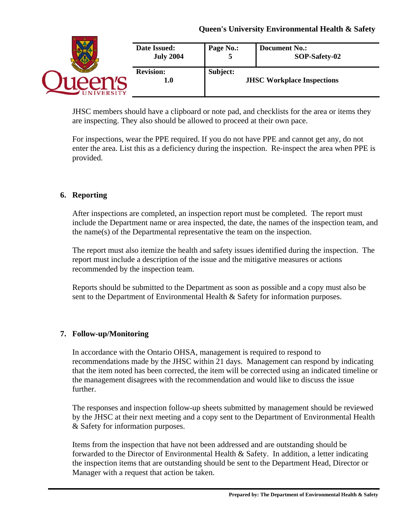| <b>ERSITY</b> | Date Issued:<br><b>July 2004</b> | Page No.:                                     | <b>Document No.:</b><br>SOP-Safety-02 |
|---------------|----------------------------------|-----------------------------------------------|---------------------------------------|
|               | <b>Revision:</b><br>1.0          | Subject:<br><b>JHSC Workplace Inspections</b> |                                       |

JHSC members should have a clipboard or note pad, and checklists for the area or items they are inspecting. They also should be allowed to proceed at their own pace.

For inspections, wear the PPE required. If you do not have PPE and cannot get any, do not enter the area. List this as a deficiency during the inspection. Re-inspect the area when PPE is provided.

# **6. Reporting**

After inspections are completed, an inspection report must be completed. The report must include the Department name or area inspected, the date, the names of the inspection team, and the name(s) of the Departmental representative the team on the inspection.

The report must also itemize the health and safety issues identified during the inspection. The report must include a description of the issue and the mitigative measures or actions recommended by the inspection team.

Reports should be submitted to the Department as soon as possible and a copy must also be sent to the Department of Environmental Health & Safety for information purposes.

## **7. Follow-up/Monitoring**

In accordance with the Ontario OHSA, management is required to respond to recommendations made by the JHSC within 21 days. Management can respond by indicating that the item noted has been corrected, the item will be corrected using an indicated timeline or the management disagrees with the recommendation and would like to discuss the issue further.

The responses and inspection follow-up sheets submitted by management should be reviewed by the JHSC at their next meeting and a copy sent to the Department of Environmental Health & Safety for information purposes.

Items from the inspection that have not been addressed and are outstanding should be forwarded to the Director of Environmental Health & Safety. In addition, a letter indicating the inspection items that are outstanding should be sent to the Department Head, Director or Manager with a request that action be taken.